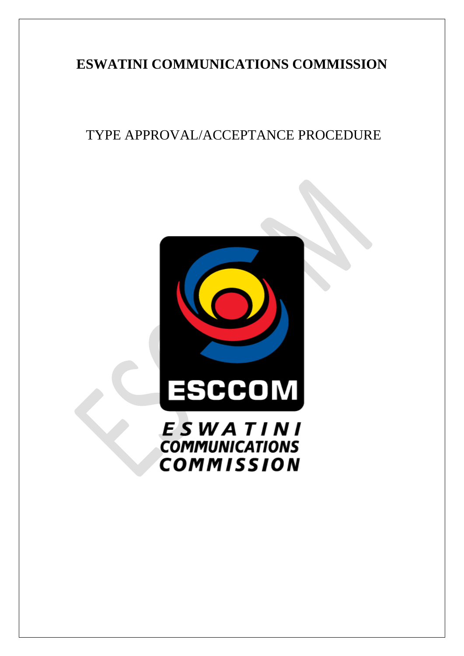# **ESWATINI COMMUNICATIONS COMMISSION**

# TYPE APPROVAL/ACCEPTANCE PROCEDURE

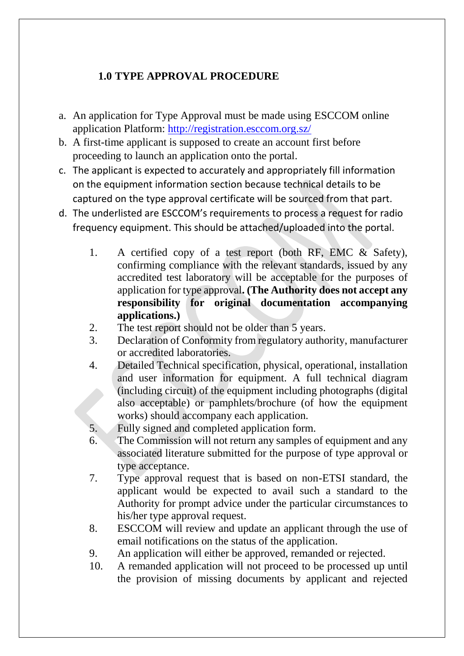### **1.0 TYPE APPROVAL PROCEDURE**

- a. An application for Type Approval must be made using ESCCOM online application Platform: <http://registration.esccom.org.sz/>
- b. A first-time applicant is supposed to create an account first before proceeding to launch an application onto the portal.
- c. The applicant is expected to accurately and appropriately fill information on the equipment information section because technical details to be captured on the type approval certificate will be sourced from that part.
- d. The underlisted are ESCCOM's requirements to process a request for radio frequency equipment. This should be attached/uploaded into the portal.
	- 1. A certified copy of a test report (both RF, EMC & Safety), confirming compliance with the relevant standards, issued by any accredited test laboratory will be acceptable for the purposes of application for type approval**. (The Authority does not accept any responsibility for original documentation accompanying applications.)**
	- 2. The test report should not be older than 5 years.
	- 3. Declaration of Conformity from regulatory authority, manufacturer or accredited laboratories.
	- 4. Detailed Technical specification, physical, operational, installation and user information for equipment. A full technical diagram (including circuit) of the equipment including photographs (digital also acceptable) or pamphlets/brochure (of how the equipment works) should accompany each application.
	- 5. Fully signed and completed application form.
	- 6. The Commission will not return any samples of equipment and any associated literature submitted for the purpose of type approval or type acceptance.
	- 7. Type approval request that is based on non-ETSI standard, the applicant would be expected to avail such a standard to the Authority for prompt advice under the particular circumstances to his/her type approval request.
	- 8. ESCCOM will review and update an applicant through the use of email notifications on the status of the application.
	- 9. An application will either be approved, remanded or rejected.
	- 10. A remanded application will not proceed to be processed up until the provision of missing documents by applicant and rejected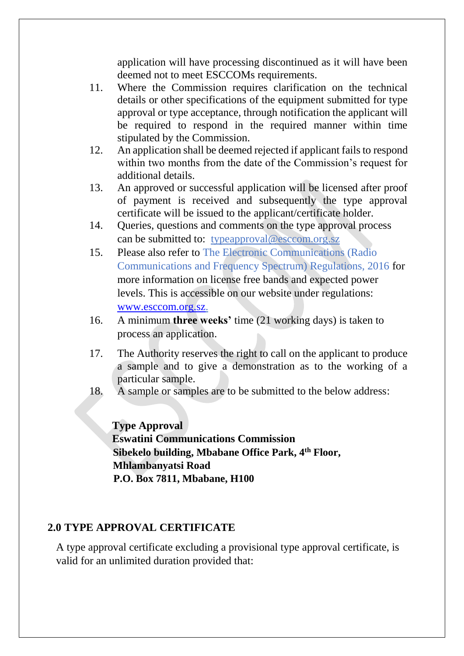application will have processing discontinued as it will have been deemed not to meet ESCCOMs requirements.

- 11. Where the Commission requires clarification on the technical details or other specifications of the equipment submitted for type approval or type acceptance, through notification the applicant will be required to respond in the required manner within time stipulated by the Commission.
- 12. An application shall be deemed rejected if applicant fails to respond within two months from the date of the Commission's request for additional details.
- 13. An approved or successful application will be licensed after proof of payment is received and subsequently the type approval certificate will be issued to the applicant/certificate holder.
- 14. Queries, questions and comments on the type approval process can be submitted to: typeapproval@esccom.org.sz
- 15. Please also refer to The Electronic Communications (Radio Communications and Frequency Spectrum) Regulations, 2016 for more information on license free bands and expected power levels. This is accessible on our website under regulations: [www.esccom.org.sz.](http://www.esccom.org.sz/)
- 16. A minimum **three weeks'** time (21 working days) is taken to process an application.
- 17. The Authority reserves the right to call on the applicant to produce a sample and to give a demonstration as to the working of a particular sample.
- 18. A sample or samples are to be submitted to the below address:

**Type Approval Eswatini Communications Commission Sibekelo building, Mbabane Office Park, 4th Floor, Mhlambanyatsi Road P.O. Box 7811, Mbabane, H100**

#### **2.0 TYPE APPROVAL CERTIFICATE**

A type approval certificate excluding a provisional type approval certificate, is valid for an unlimited duration provided that: